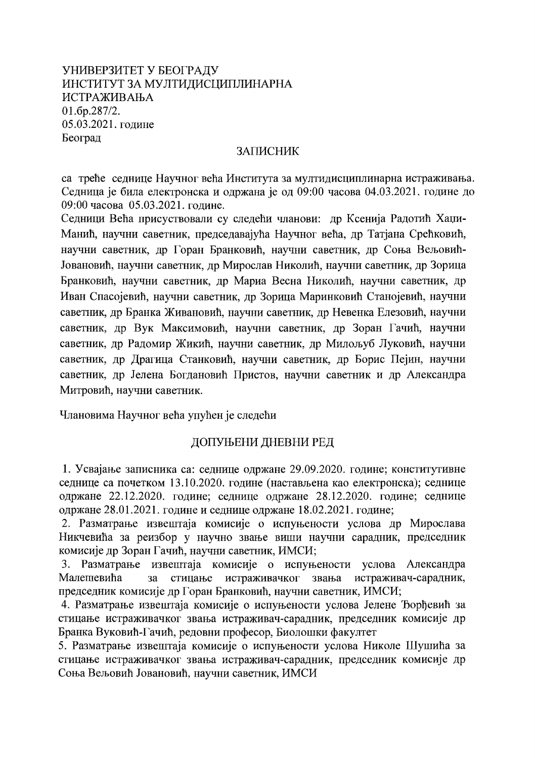# УНИВЕРЗИТЕТ У БЕОГРАДУ ИНСТИТУТ ЗА МУЛТИДИСЦИПЛИНАРНА ИСТРАЖИВАЊА 01.6p.287/2. 05.03.2021. године Београд

#### **ЗАПИСНИК**

са треће седнице Научног већа Института за мултидисциплинарна истраживања. Седница је била електронска и одржана је од 09:00 часова 04.03.2021. године до 09:00 часова 05.03.2021. године.

Седници Већа присуствовали су следећи чланови: др Ксенија Радотић Хаџи-Манић, научни саветник, председавајућа Научног већа, др Татјана Срећковић, научни саветник, др Горан Бранковић, научни саветник, др Соња Вељовић-Јовановић, научни саветник, др Мирослав Николић, научни саветник, др Зорица Бранковић, научни саветник, др Мариа Весна Николић, научни саветник, др Иван Спасојевић, научни саветник, др Зорица Маринковић Станојевић, научни саветник, др Бранка Живановић, научни саветник, др Невенка Елезовић, научни саветник, др Вук Максимовић, научни саветник, др Зоран Гачић, научни саветник, др Радомир Жикић, научни саветник, др Милољуб Луковић, научни саветник, др Драгица Станковић, научни саветник, др Борис Пејин, научни саветник, др Јелена Богдановић Пристов, научни саветник и др Александра Митровић, научни саветник.

Члановима Научног већа упућен је следећи

# ДОПУЊЕНИ ДНЕВНИ РЕД

1. Усвајање записника са: седнице одржане 29.09.2020. године; конститутивне седнице са почетком 13.10.2020. године (настављена као електронска); седнице одржане 22.12.2020. године; седнице одржане 28.12.2020. године; седнице одржане 28.01.2021. године и седнице одржане 18.02.2021. године;

2. Разматрање извештаја комисије о испуњености услова др Мирослава Никчевића за реизбор у научно звање виши научни сарадник, председник комисије др Зоран Гачић, научни саветник, ИМСИ;

3. Разматрање извештаја комисије о испуњености услова Александра Малешевића стицање истраживачког  $3a$ звања истраживач-сарадник, председник комисије др Горан Бранковић, научни саветник, ИМСИ;

4. Разматрање извештаја комисије о испуњености услова Јелене Ђорђевић за стицање истраживачког звања истраживач-сарадник, председник комисије др Бранка Вуковић-Гачић, редовни професор, Биолошки факултет

5. Разматрање извештаја комисије о испуњености услова Николе Шушића за стицање истраживачког звања истраживач-сарадник, председник комисије др Соња Вељовић Јовановић, научни саветник, ИМСИ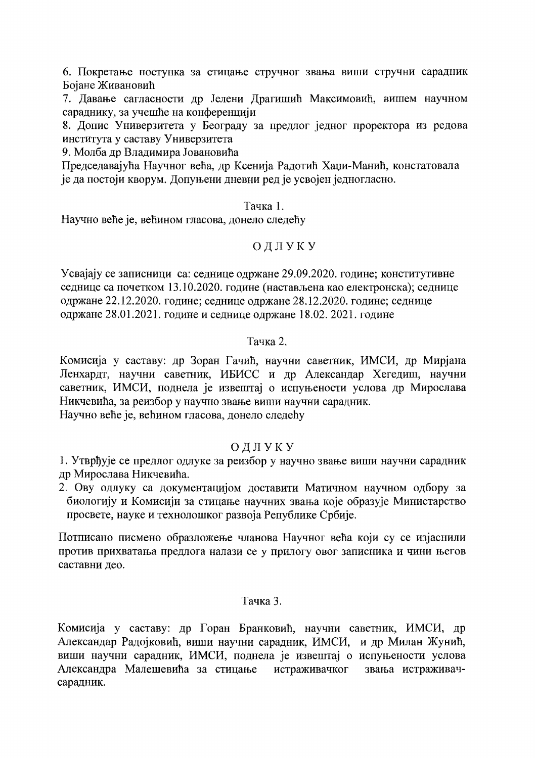6. Покретање поступка за стицање стручног звања виши стручни сарадник Бојане Живановић

7. Давање сагласности др Јелени Драгишић Максимовић, вишем научном сараднику, за учешће на конференцији

8. Допис Универзитета у Београду за предлог једног проректора из редова института у саставу Универзитета

9. Молба др Владимира Јовановића

Председавајућа Научног већа, др Ксенија Радотић Хаџи-Манић, констатовала је да постоји кворум. Допуњени дневни ред је усвојен једногласно.

#### Тачка 1.

Научно веће је, већином гласова, донело следећу

### ОДЛУКУ

Усвајају се записници са: седнице одржане 29.09.2020. године; конститутивне седнице са почетком 13.10.2020. године (настављена као електронска); седнице одржане 22.12.2020. године; седнице одржане 28.12.2020. године; седнице одржане 28.01.2021. године и седнице одржане 18.02. 2021. године

#### Тачка 2.

Комисија у саставу: др Зоран Гачић, научни саветник, ИМСИ, др Мирјана Ленхардт, научни саветник, ИБИСС и др Александар Хегедиш, научни саветник, ИМСИ, поднела је извештај о испуњености услова др Мирослава Никчевића, за реизбор у научно звање виши научни сарадник.

Научно веће је, већином гласова, донело следећу

# ОДЛУКУ

1. Утврђује се предлог одлуке за реизбор у научно звање виши научни сарадник др Мирослава Никчевића.

2. Ову одлуку са документацијом доставити Матичном научном одбору за биологију и Комисији за стицање научних звања које образује Министарство просвете, науке и технолошког развоја Републике Србије.

Потписано писмено образложење чланова Научног већа који су се изјаснили против прихватања предлога налази се у прилогу овог записника и чини његов саставни део.

#### Тачка 3.

Комисија у саставу: др Горан Бранковић, научни саветник, ИМСИ, др Александар Радојковић, виши научни сарадник, ИМСИ, и др Милан Жунић, виши научни сарадник, ИМСИ, поднела је извештај о испуњености услова Александра Малешевића за стицање истраживачког звања истраживачсарадник.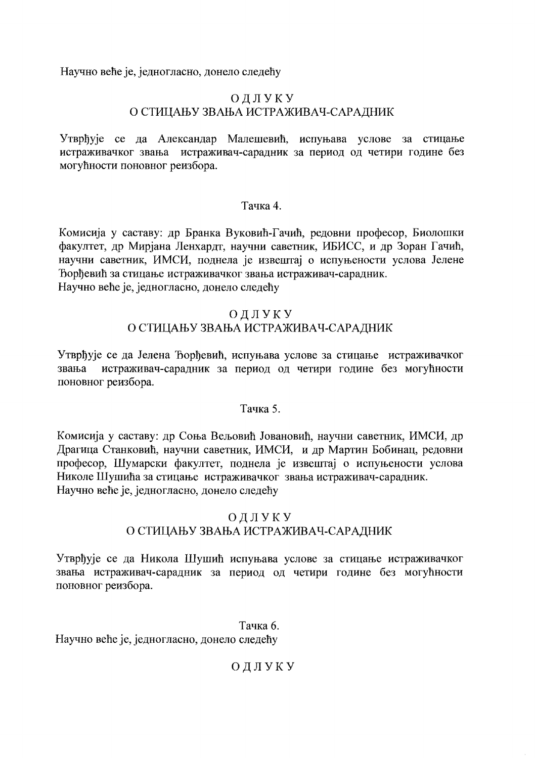Научно веће је, једногласно, донело следећу

# ОЛЛУКУ О СТИЦАЊУ ЗВАЊА ИСТРАЖИВАЧ-САРАДНИК

Утврђује се да Александар Малешевић, испуњава услове за стицање истраживачког звања истраживач-сарадник за период од четири године без могућности поновног реизбора.

### Тачка 4.

Комисија у саставу: др Бранка Вуковић-Гачић, редовни професор, Биолошки факултет, др Мирјана Ленхардт, научни саветник, ИБИСС, и др Зоран Гачић, научни саветник, ИМСИ, поднела је извештај о испуњености услова Јелене Тоордевир за стицање истраживачког звања истраживач-сарадник. Научно веће је, једногласно, донело следећу

### ОДЛУКУ О СТИЦАЊУ ЗВАЊА ИСТРАЖИВАЧ-САРАДНИК

Утврђује се да Јелена Ђорђевић, испуњава услове за стицање истраживачког истраживач-сарадник за период од четири године без могућности звања поновног реизбора.

# Тачка 5.

Комисија у саставу: др Соња Вељовић Јовановић, научни саветник, ИМСИ, др Драгица Станковић, научни саветник, ИМСИ, и др Мартин Бобинац, редовни професор, Шумарски факултет, поднела је извештај о испуњености услова Николе Шушића за стицање истраживачког звања истраживач-сарадник. Научно веће је, једногласно, донело следећу

# ОДЛУКУ О СТИЦАЊУ ЗВАЊА ИСТРАЖИВАЧ-САРАДНИК

Утврђује се да Никола Шушић испуњава услове за стицање истраживачког звања истраживач-сарадник за период од четири године без могућности поновног реизбора.

Тачка 6. Научно веће је, једногласно, донело следећу

ОДЛУКУ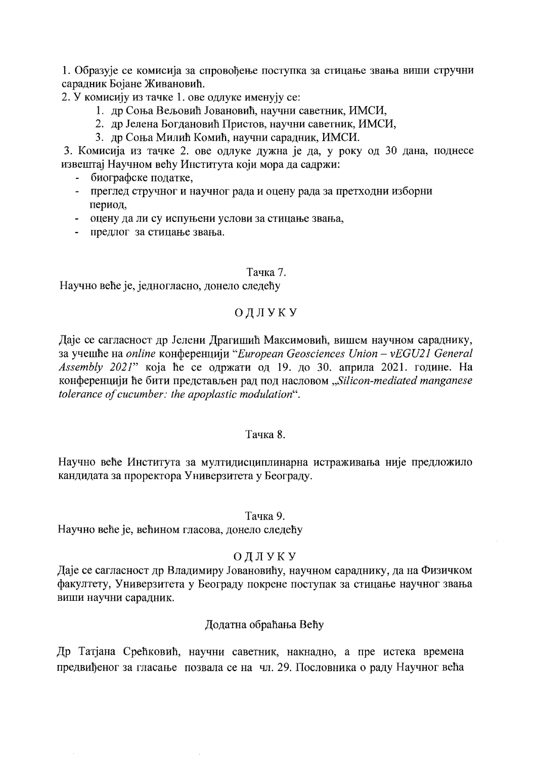1. Образује се комисија за спровођење поступка за стицање звања виши стручни сарадник Бојане Живановић.

2. У комисију из тачке 1. ове одлуке именују се:

- 1. др Соња Вељовић Јовановић, научни саветник, ИМСИ,
- 2. др Јелена Богдановић Пристов, научни саветник, ИМСИ,
- 3. др Соња Милић Комић, научни сарадник, ИМСИ.

3. Комисија из тачке 2. ове одлуке дужна је да, у року од 30 дана, поднесе извештај Научном већу Института који мора да садржи:

- биографске податке,
- преглед стручног и научног рада и оцену рада за претходни изборни период,
- оцену да ли су испуњени услови за стицање звања,
- предлог за стицање звања.

#### Тачка 7.

Научно веће је, једногласно, донело следећу

# ОДЛУКУ

Даје се сагласност др Јелени Драгишић Максимовић, вишем научном сараднику, за учешће на online конференцији "European Geosciences Union – vEGU21 General Assembly 2021" која ће се одржати од 19. до 30. априла 2021. године. На конференцији ће бити представљен рад под насловом "Silicon-mediated manganese tolerance of cucumber: the apoplastic modulation".

#### Тачка 8.

Научно веће Института за мултидисциплинарна истраживања није предложило кандидата за проректора Универзитета у Београду.

#### Тачка 9.

Научно веће је, већином гласова, донело следећу

# ОДЛУКУ

Даје се сагласност др Владимиру Јовановићу, научном сараднику, да на Физичком факултету, Универзитета у Београду покрене поступак за стицање научног звања виши научни сарадник.

# Додатна обраћања Већу

Др Татјана Срећковић, научни саветник, накнадно, а пре истека времена предвиђеног за гласање позвала се на чл. 29. Пословника о раду Научног већа